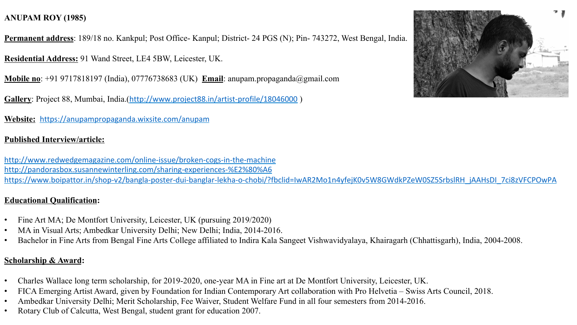# **ANUPAM ROY (1985)**

**Permanent address**: 189/18 no. Kankpul; Post Office- Kanpul; District- 24 PGS (N); Pin- 743272, West Bengal, India.

**Residential Address:** 91 Wand Street, LE4 5BW, Leicester, UK.

**Mobile no**: +91 9717818197 (India), 07776738683 (UK) **Email**: anupam.propaganda@gmail.com

**Gallery**: Project 88, Mumbai, India.(http://www.project88.in/artist-profile/18046000 )

**Website:** https://anupampropaganda.wixsite.com/anupam

#### **Published Interview/article:**

http://www.redwedgemagazine.com/online-issue/broken-cogs-in-the-machine http://pandorasbox.susannewinterling.com/sharing-experiences-%E2%80%A6 https://www.boipattor.in/shop-v2/bangla-poster-dui-banglar-lekha-o-chobi/?fbclid=IwAR2Mo1n4yfejK0v5W8GWdkPZeW0SZ5SrbslRH\_jAAHsDI\_7ci8zVFCPOwPA

#### **Educational Qualification:**

- Fine Art MA; De Montfort University, Leicester, UK (pursuing 2019/2020)
- MA in Visual Arts; Ambedkar University Delhi; New Delhi; India, 2014-2016.
- Bachelor in Fine Arts from Bengal Fine Arts College affiliated to Indira Kala Sangeet Vishwavidyalaya, Khairagarh (Chhattisgarh), India, 2004-2008.

#### **Scholarship & Award:**

- Charles Wallace long term scholarship, for 2019-2020, one-year MA in Fine art at De Montfort University, Leicester, UK.
- FICA Emerging Artist Award, given by Foundation for Indian Contemporary Art collaboration with Pro Helvetia Swiss Arts Council, 2018.
- Ambedkar University Delhi; Merit Scholarship, Fee Waiver, Student Welfare Fund in all four semesters from 2014-2016.
- Rotary Club of Calcutta, West Bengal, student grant for education 2007.

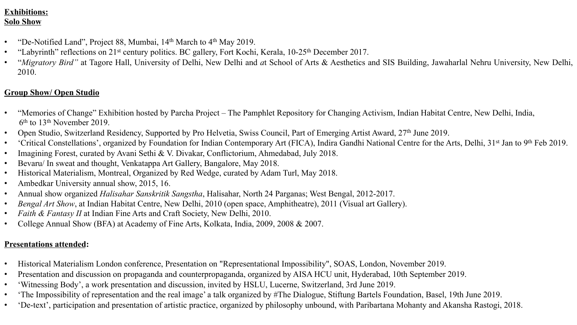## **Exhibitions: Solo Show**

- "De-Notified Land", Project 88, Mumbai, 14<sup>th</sup> March to 4<sup>th</sup> May 2019.
- "Labyrinth" reflections on 21<sup>st</sup> century politics. BC gallery, Fort Kochi, Kerala, 10-25<sup>th</sup> December 2017.
- "*Migratory Bird"* at Tagore Hall, University of Delhi, New Delhi and *a*t School of Arts & Aesthetics and SIS Building, Jawaharlal Nehru University, New Delhi, 2010.

## **Group Show/ Open Studio**

- "Memories of Change" Exhibition hosted by Parcha Project The Pamphlet Repository for Changing Activism, Indian Habitat Centre, New Delhi, India, 6th to 13th November 2019.
- Open Studio, Switzerland Residency, Supported by Pro Helvetia, Swiss Council, Part of Emerging Artist Award, 27<sup>th</sup> June 2019.
- 'Critical Constellations', organized by Foundation for Indian Contemporary Art (FICA), Indira Gandhi National Centre for the Arts, Delhi, 31<sup>st</sup> Jan to 9<sup>th</sup> Feb 2019.
- Imagining Forest, curated by Avani Sethi & V. Divakar, Conflictorium, Ahmedabad, July 2018.
- Bevaru/ In sweat and thought, Venkatappa Art Gallery, Bangalore, May 2018.
- Historical Materialism, Montreal, Organized by Red Wedge, curated by Adam Turl, May 2018.
- Ambedkar University annual show, 2015, 16.
- Annual show organized *Halisahar Sanskritik Sangstha*, Halisahar, North 24 Parganas; West Bengal, 2012-2017.
- *Bengal Art Show*, at Indian Habitat Centre, New Delhi, 2010 (open space, Amphitheatre), 2011 (Visual art Gallery).
- *Faith & Fantasy II* at Indian Fine Arts and Craft Society, New Delhi, 2010.
- College Annual Show (BFA) at Academy of Fine Arts, Kolkata, India, 2009, 2008 & 2007.

# **Presentations attended:**

- Historical Materialism London conference, Presentation on "Representational Impossibility", SOAS, London, November 2019.
- Presentation and discussion on propaganda and counterpropaganda, organized by AISA HCU unit, Hyderabad, 10th September 2019.
- 'Witnessing Body', a work presentation and discussion, invited by HSLU, Lucerne, Switzerland, 3rd June 2019.
- 'The Impossibility of representation and the real image' a talk organized by #The Dialogue, Stiftung Bartels Foundation, Basel, 19th June 2019.
- 'De-text', participation and presentation of artistic practice, organized by philosophy unbound, with Paribartana Mohanty and Akansha Rastogi, 2018.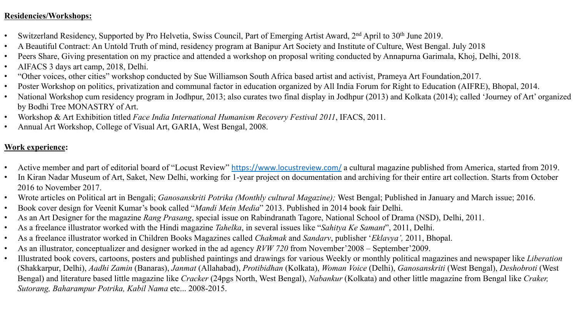### **Residencies/Workshops:**

- Switzerland Residency, Supported by Pro Helvetia, Swiss Council, Part of Emerging Artist Award, 2<sup>nd</sup> April to 30<sup>th</sup> June 2019.
- A Beautiful Contract: An Untold Truth of mind, residency program at Banipur Art Society and Institute of Culture, West Bengal. July 2018
- Peers Share, Giving presentation on my practice and attended a workshop on proposal writing conducted by Annapurna Garimala, Khoj, Delhi, 2018.
- AIFACS 3 days art camp, 2018, Delhi.
- "Other voices, other cities" workshop conducted by Sue Williamson South Africa based artist and activist, Prameya Art Foundation,2017.
- Poster Workshop on politics, privatization and communal factor in education organized by All India Forum for Right to Education (AIFRE), Bhopal, 2014.
- National Workshop cum residency program in Jodhpur, 2013; also curates two final display in Jodhpur (2013) and Kolkata (2014); called 'Journey of Art' organized by Bodhi Tree MONASTRY of Art.
- Workshop & Art Exhibition titled *Face India International Humanism Recovery Festival 2011*, IFACS, 2011.
- Annual Art Workshop, College of Visual Art, GARIA, West Bengal, 2008.

## **Work experience:**

- Active member and part of editorial board of "Locust Review" https://www.locustreview.com/ a cultural magazine published from America, started from 2019.
- In Kiran Nadar Museum of Art, Saket, New Delhi, working for 1-year project on documentation and archiving for their entire art collection. Starts from October 2016 to November 2017.
- Wrote articles on Political art in Bengali; *Ganosanskriti Potrika (Monthly cultural Magazine);* West Bengal; Published in January and March issue; 2016.
- Book cover design for Veenit Kumar's book called "*Mandi Mein Media*" 2013. Published in 2014 book fair Delhi.
- As an Art Designer for the magazine *Rang Prasang*, special issue on Rabindranath Tagore, National School of Drama (NSD), Delhi, 2011.
- As a freelance illustrator worked with the Hindi magazine *Tahelka*, in several issues like "*Sahitya Ke Samant*", 2011, Delhi.
- As a freelance illustrator worked in Children Books Magazines called *Chakmak* and *Sandarv*, publisher '*Eklavya',* 2011, Bhopal.
- As an illustrator, conceptualizer and designer worked in the ad agency *RVW 720* from November'2008 September'2009.
- Illustrated book covers, cartoons, posters and published paintings and drawings for various Weekly or monthly political magazines and newspaper like *Liberation*  (Shakkarpur, Delhi), *Aadhi Zamin* (Banaras), *Janmat* (Allahabad), *Protibidhan* (Kolkata), *Woman Voice* (Delhi), *Ganosanskriti* (West Bengal), *Deshobroti* (West Bengal) and literature based little magazine like *Cracker* (24pgs North, West Bengal), *Nabankur* (Kolkata) and other little magazine from Bengal like *Craker, Sutorang, Baharampur Potrika, Kabil Nama* etc... 2008-2015.